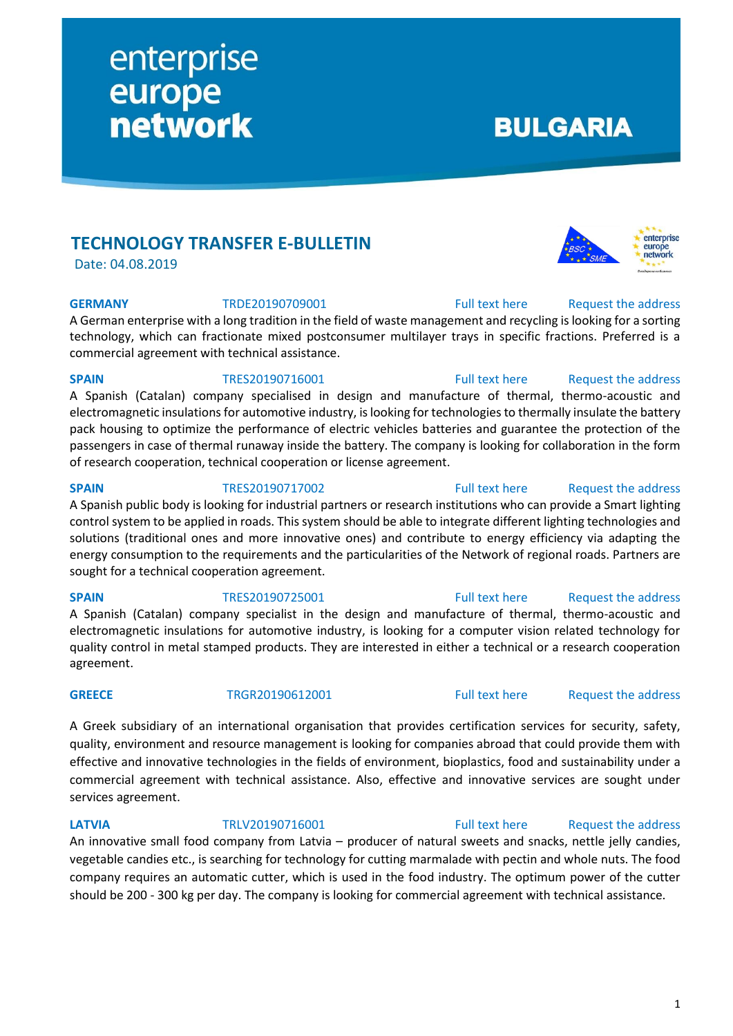# **TECHNOLOGY TRANSFER E-BULLETIN**

enterprise

**network** 

europe

Date: 04.08.2019

### **GERMANY** TRDE20190709001 [Full text here](https://een.ec.europa.eu/tools/services/PRO/Profile/Detail/322776cf-2c20-4b4d-9d51-bc487480daa2) Request the address

A German enterprise with a long tradition in the field of waste management and recycling is looking for a sorting technology, which can fractionate mixed postconsumer multilayer trays in specific fractions. Preferred is a commercial agreement with technical assistance.

### **SPAIN** TRES20190716001 [Full text here](https://een.ec.europa.eu/tools/services/PRO/Profile/Detail/309ea992-4e5e-4269-9308-29befa7f6d81) Request the address

A Spanish (Catalan) company specialised in design and manufacture of thermal, thermo-acoustic and electromagnetic insulations for automotive industry, is looking for technologies to thermally insulate the battery pack housing to optimize the performance of electric vehicles batteries and guarantee the protection of the passengers in case of thermal runaway inside the battery. The company is looking for collaboration in the form of research cooperation, technical cooperation or license agreement.

### **SPAIN** TRES20190717002 [Full text here](https://een.ec.europa.eu/tools/services/PRO/Profile/Detail/21a091be-69eb-48b5-9771-8f9862ae57ca) Request the address

A Spanish public body is looking for industrial partners or research institutions who can provide a Smart lighting control system to be applied in roads. This system should be able to integrate different lighting technologies and solutions (traditional ones and more innovative ones) and contribute to energy efficiency via adapting the energy consumption to the requirements and the particularities of the Network of regional roads. Partners are sought for a technical cooperation agreement.

A Spanish (Catalan) company specialist in the design and manufacture of thermal, thermo-acoustic and electromagnetic insulations for automotive industry, is looking for a computer vision related technology for quality control in metal stamped products. They are interested in either a technical or a research cooperation agreement.

A Greek subsidiary of an international organisation that provides certification services for security, safety, quality, environment and resource management is looking for companies abroad that could provide them with effective and innovative technologies in the fields of environment, bioplastics, food and sustainability under a commercial agreement with technical assistance. Also, effective and innovative services are sought under services agreement.

# **LATVIA** TRLV20190716001 [Full text here](https://een.ec.europa.eu/tools/services/PRO/Profile/Detail/647f7f19-6133-4a2d-9258-0970d1fc35fb) Request the address

An innovative small food company from Latvia – producer of natural sweets and snacks, nettle jelly candies, vegetable candies etc., is searching for technology for cutting marmalade with pectin and whole nuts. The food company requires an automatic cutter, which is used in the food industry. The optimum power of the cutter should be 200 - 300 kg per day. The company is looking for commercial agreement with technical assistance.

# **BULGARIA**



# **SPAIN** TRES20190725001 [Full text here](https://een.ec.europa.eu/tools/services/PRO/Profile/Detail/cc394bcd-d116-45bd-b0a2-94858efbd6c6) Request [the address](http://www.een.bg/index.php?option=com_rsform&formId=13)

# GREECE TRGR20190612001 [Full text here](https://een.ec.europa.eu/tools/services/PRO/Profile/Detail/29311475-13f7-4e6f-9562-8299c663c79a) Request [the address](http://www.een.bg/index.php?option=com_rsform&formId=13)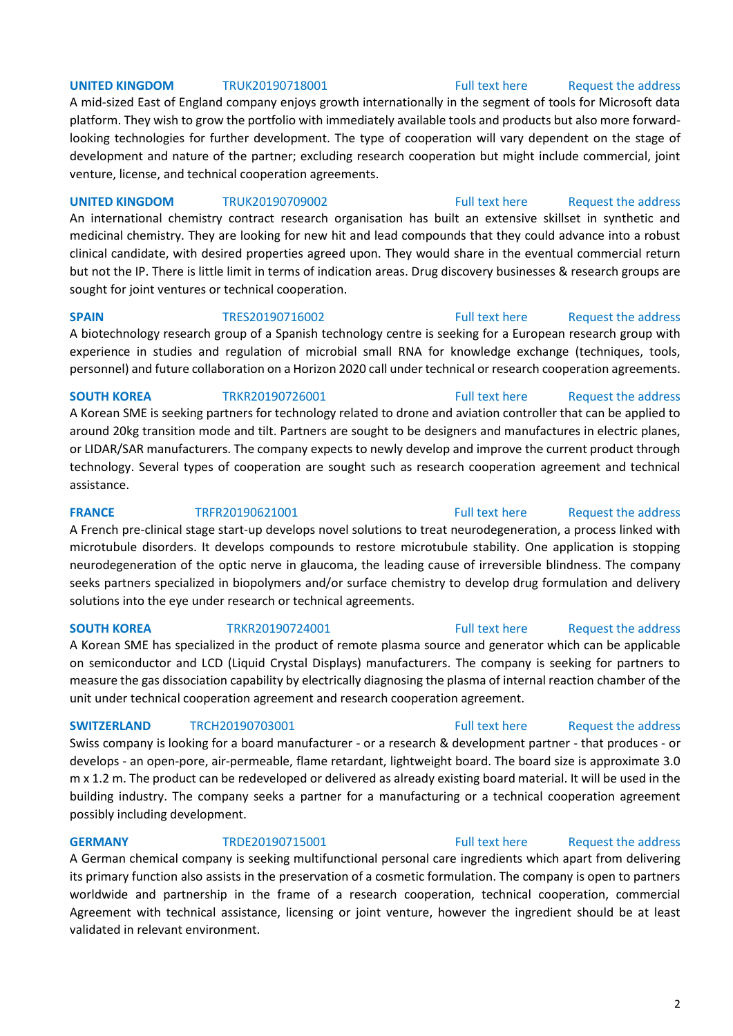# 2

# **UNITED KINGDOM** TRUK20190718001 [Full text here](https://een.ec.europa.eu/tools/services/PRO/Profile/Detail/dab4c3af-559e-42ee-acd1-0a8350a5d11a) Request the address

A mid-sized East of England company enjoys growth internationally in the segment of tools for Microsoft data platform. They wish to grow the portfolio with immediately available tools and products but also more forwardlooking technologies for further development. The type of cooperation will vary dependent on the stage of development and nature of the partner; excluding research cooperation but might include commercial, joint venture, license, and technical cooperation agreements.

# **UNITED KINGDOM** TRUK20190709002 [Full text here](https://een.ec.europa.eu/tools/services/PRO/Profile/Detail/e6b737b9-4e7c-4288-95c3-92513bb615d7) Request [the address](http://www.een.bg/index.php?option=com_rsform&formId=13)

An international chemistry contract research organisation has built an extensive skillset in synthetic and medicinal chemistry. They are looking for new hit and lead compounds that they could advance into a robust clinical candidate, with desired properties agreed upon. They would share in the eventual commercial return but not the IP. There is little limit in terms of indication areas. Drug discovery businesses & research groups are sought for joint ventures or technical cooperation.

A biotechnology research group of a Spanish technology centre is seeking for a European research group with experience in studies and regulation of microbial small RNA for knowledge exchange (techniques, tools, personnel) and future collaboration on a Horizon 2020 call under technical or research cooperation agreements.

# **SOUTH KOREA** TRKR20190726001 [Full text here](https://een.ec.europa.eu/tools/services/PRO/Profile/Detail/e855ca45-94cb-4be7-84b4-9ea8eab95fb8) Request the address

A Korean SME is seeking partners for technology related to drone and aviation controller that can be applied to around 20kg transition mode and tilt. Partners are sought to be designers and manufactures in electric planes, or LIDAR/SAR manufacturers. The company expects to newly develop and improve the current product through technology. Several types of cooperation are sought such as research cooperation agreement and technical assistance.

A French pre-clinical stage start-up develops novel solutions to treat neurodegeneration, a process linked with microtubule disorders. It develops compounds to restore microtubule stability. One application is stopping neurodegeneration of the optic nerve in glaucoma, the leading cause of irreversible blindness. The company seeks partners specialized in biopolymers and/or surface chemistry to develop drug formulation and delivery solutions into the eye under research or technical agreements.

## **SOUTH KOREA** TRKR20190724001 [Full text here](https://een.ec.europa.eu/tools/services/PRO/Profile/Detail/d45bf33c-ef99-4b32-9cbc-ece598083888) Request [the address](http://www.een.bg/index.php?option=com_rsform&formId=13)

A Korean SME has specialized in the product of remote plasma source and generator which can be applicable on semiconductor and LCD (Liquid Crystal Displays) manufacturers. The company is seeking for partners to measure the gas dissociation capability by electrically diagnosing the plasma of internal reaction chamber of the unit under technical cooperation agreement and research cooperation agreement.

Swiss company is looking for a board manufacturer - or a research & development partner - that produces - or develops - an open-pore, air-permeable, flame retardant, lightweight board. The board size is approximate 3.0 m x 1.2 m. The product can be redeveloped or delivered as already existing board material. It will be used in the building industry. The company seeks a partner for a manufacturing or a technical cooperation agreement possibly including development.

## **GERMANY** TRDE20190715001 [Full text here](https://een.ec.europa.eu/tools/services/PRO/Profile/Detail/6dc27404-0cbe-476b-b3cb-b424dfb0368e) Request the address

A German chemical company is seeking multifunctional personal care ingredients which apart from delivering its primary function also assists in the preservation of a cosmetic formulation. The company is open to partners worldwide and partnership in the frame of a research cooperation, technical cooperation, commercial Agreement with technical assistance, licensing or joint venture, however the ingredient should be at least validated in relevant environment.

# **SPAIN** TRES20190716002 [Full text here](https://een.ec.europa.eu/tools/services/PRO/Profile/Detail/de632252-f829-4947-9873-32493870420c) Request [the address](http://www.een.bg/index.php?option=com_rsform&formId=13)

# **FRANCE** TRFR20190621001 [Full text here](https://een.ec.europa.eu/tools/services/PRO/Profile/Detail/38cf43e0-0889-4198-af5d-c336f057a87d) Request the address

# **SWITZERLAND** TRCH20190703001 **Full text here** Request the address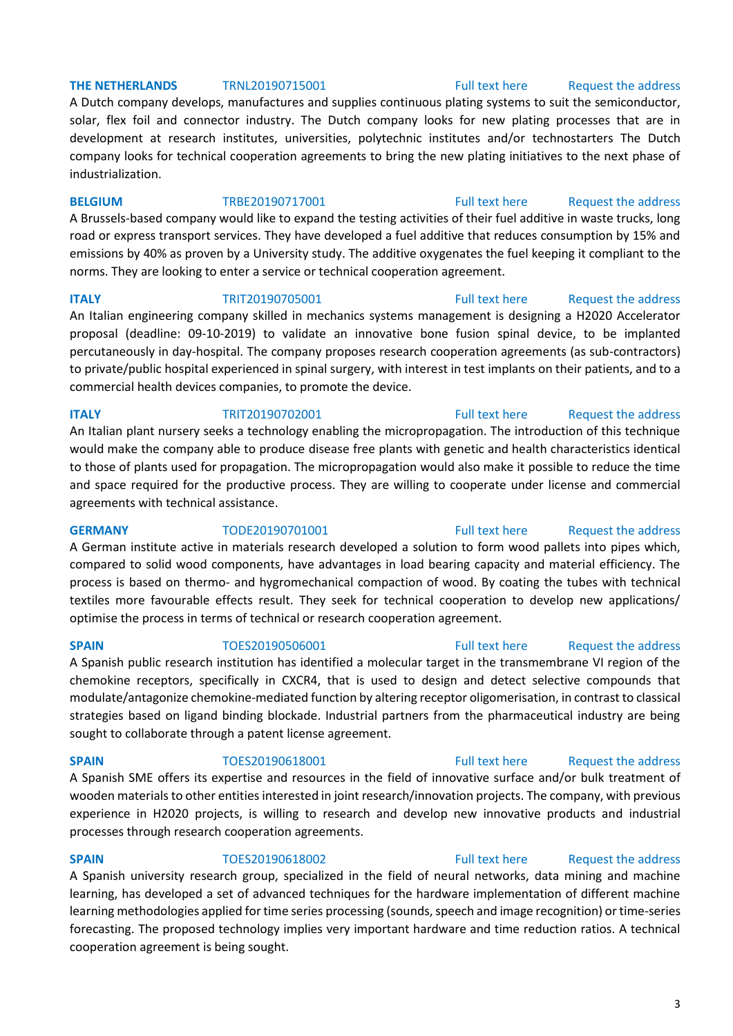### **THE NETHERLANDS** TRNL20190715001 [Full text here](https://een.ec.europa.eu/tools/services/PRO/Profile/Detail/872226c1-2b43-4dd3-bd2d-d7338e0d94f6) Request the address

A Dutch company develops, manufactures and supplies continuous plating systems to suit the semiconductor, solar, flex foil and connector industry. The Dutch company looks for new plating processes that are in development at research institutes, universities, polytechnic institutes and/or technostarters The Dutch company looks for technical cooperation agreements to bring the new plating initiatives to the next phase of industrialization.

### **BELGIUM** TRBE20190717001 [Full text here](https://een.ec.europa.eu/tools/services/PRO/Profile/Detail/9f9a6ecd-dc7c-4d01-90f7-37380132754c) Request the address

A Brussels-based company would like to expand the testing activities of their fuel additive in waste trucks, long road or express transport services. They have developed a fuel additive that reduces consumption by 15% and emissions by 40% as proven by a University study. The additive oxygenates the fuel keeping it compliant to the norms. They are looking to enter a service or technical cooperation agreement.

**ITALY TRIT20190705001** [Full text here](https://een.ec.europa.eu/tools/services/PRO/Profile/Detail/ccf74dd8-6264-4f1d-badc-f6bca46d1c2f) Request the address

An Italian engineering company skilled in mechanics systems management is designing a H2020 Accelerator proposal (deadline: 09-10-2019) to validate an innovative bone fusion spinal device, to be implanted percutaneously in day-hospital. The company proposes research cooperation agreements (as sub-contractors) to private/public hospital experienced in spinal surgery, with interest in test implants on their patients, and to a commercial health devices companies, to promote the device.

### **ITALY TRIT20190702001 TRIT20190702001 [Full text here](https://een.ec.europa.eu/tools/services/PRO/Profile/Detail/81977b08-91c3-43c2-a60d-7ee0e71ffa26) Request the address**

An Italian plant nursery seeks a technology enabling the micropropagation. The introduction of this technique would make the company able to produce disease free plants with genetic and health characteristics identical to those of plants used for propagation. The micropropagation would also make it possible to reduce the time and space required for the productive process. They are willing to cooperate under license and commercial agreements with technical assistance.

# **GERMANY** TODE20190701001 [Full text here](https://een.ec.europa.eu/tools/services/PRO/Profile/Detail/af14345f-7bac-4c64-bfce-2e28830da2cc) Request the address A German institute active in materials research developed a solution to form wood pallets into pipes which, compared to solid wood components, have advantages in load bearing capacity and material efficiency. The process is based on thermo- and hygromechanical compaction of wood. By coating the tubes with technical textiles more favourable effects result. They seek for technical cooperation to develop new applications/ optimise the process in terms of technical or research cooperation agreement.

A Spanish public research institution has identified a molecular target in the transmembrane VI region of the chemokine receptors, specifically in CXCR4, that is used to design and detect selective compounds that modulate/antagonize chemokine-mediated function by altering receptor oligomerisation, in contrast to classical strategies based on ligand binding blockade. Industrial partners from the pharmaceutical industry are being sought to collaborate through a patent license agreement.

**SPAIN** TOES20190618001 [Full text here](https://een.ec.europa.eu/tools/services/PRO/Profile/Detail/566653b2-80e4-4aa5-968a-62ea3296cc17) Request the address A Spanish SME offers its expertise and resources in the field of innovative surface and/or bulk treatment of wooden materials to other entities interested in joint research/innovation projects. The company, with previous experience in H2020 projects, is willing to research and develop new innovative products and industrial processes through research cooperation agreements.

# **SPAIN** TOES20190618002 [Full text here](https://een.ec.europa.eu/tools/services/PRO/Profile/Detail/2ea07210-74f6-4ed0-99cb-305a11a572b8) Request the address

A Spanish university research group, specialized in the field of neural networks, data mining and machine learning, has developed a set of advanced techniques for the hardware implementation of different machine learning methodologies applied for time series processing (sounds, speech and image recognition) or time-series forecasting. The proposed technology implies very important hardware and time reduction ratios. A technical cooperation agreement is being sought.

# **SPAIN** TOES20190506001 [Full text here](https://een.ec.europa.eu/tools/services/PRO/Profile/Detail/5ecaf4dc-540d-4815-9a06-2330c00bca9f) Request the address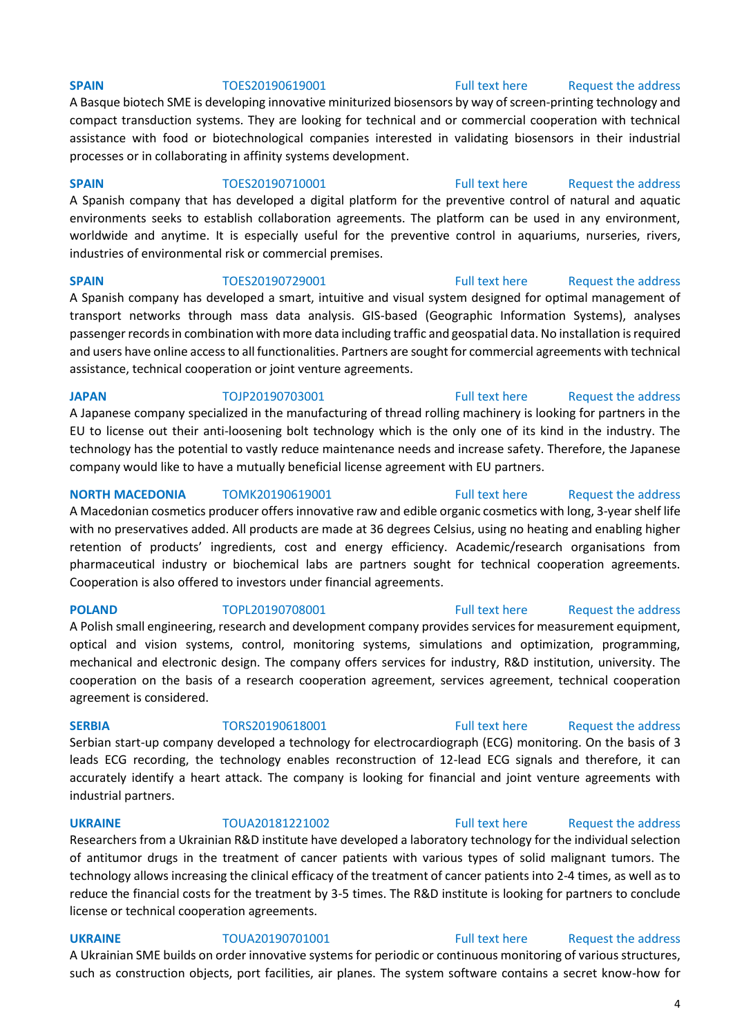**SERBIA** TORS20190618001 [Full text here](https://een.ec.europa.eu/tools/services/PRO/Profile/Detail/df291fa1-ab2c-4c6c-9844-61b9d58b0bcb) Request the address Serbian start-up company developed a technology for electrocardiograph (ECG) monitoring. On the basis of 3 leads ECG recording, the technology enables reconstruction of 12-lead ECG signals and therefore, it can accurately identify a heart attack. The company is looking for financial and joint venture agreements with industrial partners.

Researchers from a Ukrainian R&D institute have developed a laboratory technology for the individual selection of antitumor drugs in the treatment of cancer patients with various types of solid malignant tumors. The technology allows increasing the clinical efficacy of the treatment of cancer patients into 2-4 times, as well as to reduce the financial costs for the treatment by 3-5 times. The R&D institute is looking for partners to conclude license or technical cooperation agreements.

**UKRAINE** TOUA20190701001 [Full text here](https://een.ec.europa.eu/tools/services/PRO/Profile/Detail/760f0388-8269-4df4-b1bf-12b0bbd2d7f2) Request the address A Ukrainian SME builds on order innovative systems for periodic or continuous monitoring of various structures,

such as construction objects, port facilities, air planes. The system software contains a secret know-how for

A Basque biotech SME is developing innovative miniturized biosensors by way of screen-printing technology and compact transduction systems. They are looking for technical and or commercial cooperation with technical assistance with food or biotechnological companies interested in validating biosensors in their industrial processes or in collaborating in affinity systems development.

**SPAIN** TOES20190710001 [Full text here](https://een.ec.europa.eu/tools/services/PRO/Profile/Detail/b5b44fb0-8ca3-4c6a-888a-b27e6d3eda51) Request the address A Spanish company that has developed a digital platform for the preventive control of natural and aquatic environments seeks to establish collaboration agreements. The platform can be used in any environment, worldwide and anytime. It is especially useful for the preventive control in aquariums, nurseries, rivers, industries of environmental risk or commercial premises.

**SPAIN** TOES20190729001 [Full text here](https://een.ec.europa.eu/tools/services/PRO/Profile/Detail/75f7609b-0bb1-4a64-86d5-0fb880da2d84) Request the address A Spanish company has developed a smart, intuitive and visual system designed for optimal management of transport networks through mass data analysis. GIS-based (Geographic Information Systems), analyses passenger records in combination with more data including traffic and geospatial data. No installation is required and users have online access to all functionalities. Partners are sought for commercial agreements with technical assistance, technical cooperation or joint venture agreements.

**JAPAN** TOJP20190703001 [Full text here](https://een.ec.europa.eu/tools/services/PRO/Profile/Detail/a251e702-20a6-4409-acdd-88f4ea4feb10) Request the address A Japanese company specialized in the manufacturing of thread rolling machinery is looking for partners in the EU to license out their anti-loosening bolt technology which is the only one of its kind in the industry. The

# technology has the potential to vastly reduce maintenance needs and increase safety. Therefore, the Japanese company would like to have a mutually beneficial license agreement with EU partners.

**NORTH MACEDONIA** TOMK20190619001 [Full text here](https://een.ec.europa.eu/tools/services/PRO/Profile/Detail/5ddffcc6-0bd7-4ffe-9b11-d8593465defd) Request the address A Macedonian cosmetics producer offers innovative raw and edible organic cosmetics with long, 3-year shelf life with no preservatives added. All products are made at 36 degrees Celsius, using no heating and enabling higher retention of products' ingredients, cost and energy efficiency. Academic/research organisations from pharmaceutical industry or biochemical labs are partners sought for technical cooperation agreements. Cooperation is also offered to investors under financial agreements.

## **POLAND** TOPL20190708001 [Full text here](https://een.ec.europa.eu/tools/services/PRO/Profile/Detail/86ebb17e-25dd-461d-9617-d78975f286ea) Request the address

A Polish small engineering, research and development company provides services for measurement equipment, optical and vision systems, control, monitoring systems, simulations and optimization, programming, mechanical and electronic design. The company offers services for industry, R&D institution, university. The cooperation on the basis of a research cooperation agreement, services agreement, technical cooperation agreement is considered.

# **UKRAINE** TOUA20181221002 [Full text here](https://een.ec.europa.eu/tools/services/PRO/Profile/Detail/3d282a99-9776-4721-8c03-075c18d48599) [Request the address](http://www.een.bg/index.php?option=com_rsform&formId=13)

### **SPAIN** TOES20190619001 [Full text here](https://een.ec.europa.eu/tools/services/PRO/Profile/Detail/558d9c5f-c6a0-4aeb-b217-3a2234c8d063) Request the address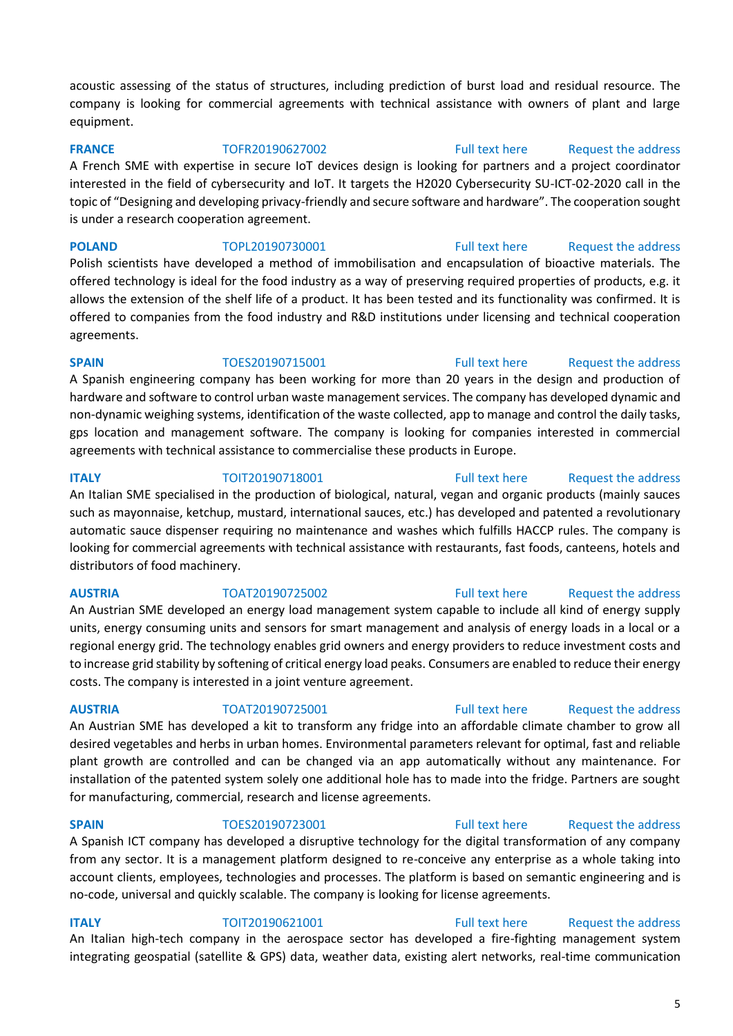acoustic assessing of the status of structures, including prediction of burst load and residual resource. The company is looking for commercial agreements with technical assistance with owners of plant and large equipment.

**FRANCE** TOFR20190627002 [Full text here](https://een.ec.europa.eu/tools/services/PRO/Profile/Detail/27dea68a-cd2d-4497-9ee8-b2c0a6b8fb94) Request the address

A French SME with expertise in secure IoT devices design is looking for partners and a project coordinator interested in the field of cybersecurity and IoT. It targets the H2020 Cybersecurity SU-ICT-02-2020 call in the topic of "Designing and developing privacy-friendly and secure software and hardware". The cooperation sought is under a research cooperation agreement.

**POLAND** TOPL20190730001 [Full text here](https://een.ec.europa.eu/tools/services/PRO/Profile/Detail/c4f2baf7-cb54-40a8-944f-28ee30e8c21e) Request the address Polish scientists have developed a method of immobilisation and encapsulation of bioactive materials. The offered technology is ideal for the food industry as a way of preserving required properties of products, e.g. it allows the extension of the shelf life of a product. It has been tested and its functionality was confirmed. It is offered to companies from the food industry and R&D institutions under licensing and technical cooperation agreements.

**SPAIN** TOES20190715001 [Full text here](https://een.ec.europa.eu/tools/services/PRO/Profile/Detail/f35efedf-6472-43b4-960d-baa8db31ff6a) Request the address A Spanish engineering company has been working for more than 20 years in the design and production of hardware and software to control urban waste management services. The company has developed dynamic and non-dynamic weighing systems, identification of the waste collected, app to manage and control the daily tasks, gps location and management software. The company is looking for companies interested in commercial agreements with technical assistance to commercialise these products in Europe.

# **ITALY** TOIT20190718001 [Full text here](https://een.ec.europa.eu/tools/services/PRO/Profile/Detail/23b61b1b-8935-4959-8a17-11982fc405ce) Request the address An Italian SME specialised in the production of biological, natural, vegan and organic products (mainly sauces such as mayonnaise, ketchup, mustard, international sauces, etc.) has developed and patented a revolutionary automatic sauce dispenser requiring no maintenance and washes which fulfills HACCP rules. The company is looking for commercial agreements with technical assistance with restaurants, fast foods, canteens, hotels and distributors of food machinery.

## AUSTRIA TOAT20190725002 [Full text here](https://een.ec.europa.eu/tools/services/PRO/Profile/Detail/5b91b0a6-3e5a-4518-a680-82351b4f015c) Request the address

An Austrian SME developed an energy load management system capable to include all kind of energy supply units, energy consuming units and sensors for smart management and analysis of energy loads in a local or a regional energy grid. The technology enables grid owners and energy providers to reduce investment costs and to increase grid stability by softening of critical energy load peaks. Consumers are enabled to reduce their energy costs. The company is interested in a joint venture agreement.

An Austrian SME has developed a kit to transform any fridge into an affordable climate chamber to grow all desired vegetables and herbs in urban homes. Environmental parameters relevant for optimal, fast and reliable plant growth are controlled and can be changed via an app automatically without any maintenance. For installation of the patented system solely one additional hole has to made into the fridge. Partners are sought for manufacturing, commercial, research and license agreements.

# **AUSTRIA** TOAT20190725001 [Full text here](https://een.ec.europa.eu/tools/services/PRO/Profile/Detail/57a72076-6c0f-4e41-ac8c-5df4d1a084a7) Request the address

# **SPAIN** TOES20190723001 [Full text here](https://een.ec.europa.eu/tools/services/PRO/Profile/Detail/d7790618-f5a0-4d02-a883-158081ef6250) Request the address

A Spanish ICT company has developed a disruptive technology for the digital transformation of any company from any sector. It is a management platform designed to re-conceive any enterprise as a whole taking into account clients, employees, technologies and processes. The platform is based on semantic engineering and is no-code, universal and quickly scalable. The company is looking for license agreements.

# **ITALY TOIT20190621001** [Full text here](https://een.ec.europa.eu/tools/services/PRO/Profile/Detail/2904f11e-943e-4d4b-ad4f-032ea7bf89a5) Request the address

An Italian high-tech company in the aerospace sector has developed a fire-fighting management system integrating geospatial (satellite & GPS) data, weather data, existing alert networks, real-time communication

### 5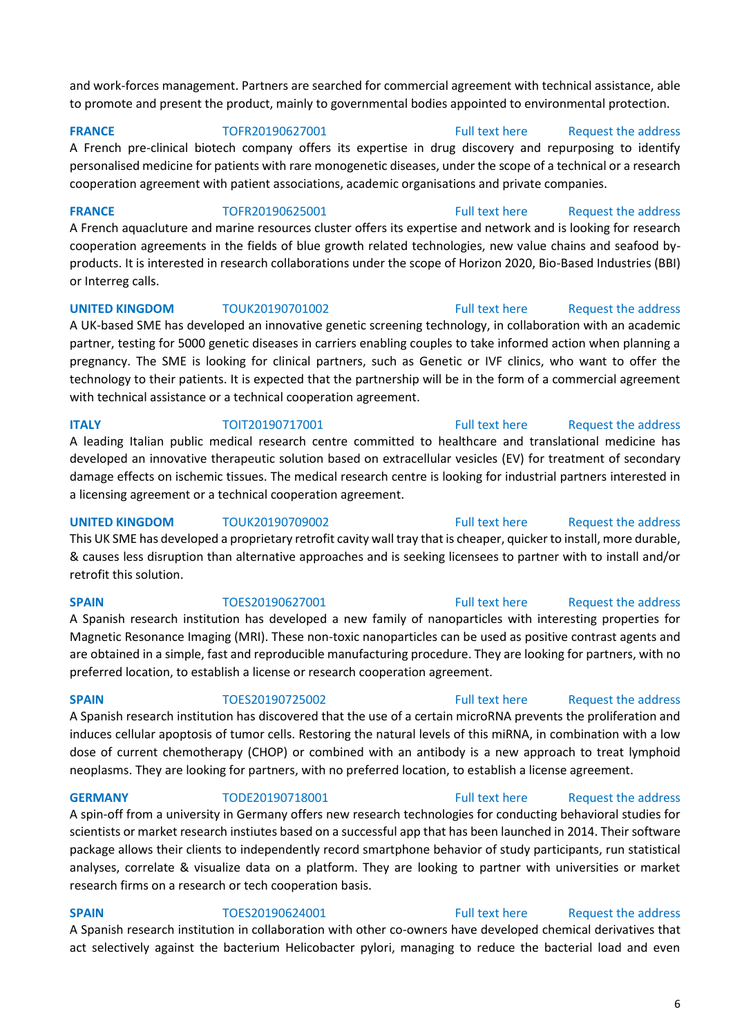and work-forces management. Partners are searched for commercial agreement with technical assistance, able to promote and present the product, mainly to governmental bodies appointed to environmental protection.

### **FRANCE** TOFR20190627001 [Full text here](https://een.ec.europa.eu/tools/services/PRO/Profile/Detail/228c3ca0-0b75-4454-9910-c5f154b7f1a0) Request the address

A French pre-clinical biotech company offers its expertise in drug discovery and repurposing to identify personalised medicine for patients with rare monogenetic diseases, under the scope of a technical or a research cooperation agreement with patient associations, academic organisations and private companies.

**FRANCE** TOFR20190625001 [Full text here](https://een.ec.europa.eu/tools/services/PRO/Profile/Detail/5af73865-73dd-4bc0-a8cf-443ef04d2522) Request the address A French aquacluture and marine resources cluster offers its expertise and network and is looking for research cooperation agreements in the fields of blue growth related technologies, new value chains and seafood byproducts. It is interested in research collaborations under the scope of Horizon 2020, Bio-Based Industries (BBI) or Interreg calls.

**UNITED KINGDOM** TOUK20190701002 **Full text here** Request the address A UK-based SME has developed an innovative genetic screening technology, in collaboration with an academic partner, testing for 5000 genetic diseases in carriers enabling couples to take informed action when planning a pregnancy. The SME is looking for clinical partners, such as Genetic or IVF clinics, who want to offer the technology to their patients. It is expected that the partnership will be in the form of a commercial agreement with technical assistance or a technical cooperation agreement.

**ITALY TOIT20190717001** [Full text here](https://een.ec.europa.eu/tools/services/PRO/Profile/Detail/f0a982b6-05dd-4338-8eb9-c8ea441c64c4) Request the address A leading Italian public medical research centre committed to healthcare and translational medicine has developed an innovative therapeutic solution based on extracellular vesicles (EV) for treatment of secondary damage effects on ischemic tissues. The medical research centre is looking for industrial partners interested in a licensing agreement or a technical cooperation agreement.

**UNITED KINGDOM** TOUK20190709002 **Full text here** Request the address This UK SME has developed a proprietary retrofit cavity wall tray that is cheaper, quicker to install, more durable, & causes less disruption than alternative approaches and is seeking licensees to partner with to install and/or retrofit this solution.

A Spanish research institution has developed a new family of nanoparticles with interesting properties for Magnetic Resonance Imaging (MRI). These non-toxic nanoparticles can be used as positive contrast agents and are obtained in a simple, fast and reproducible manufacturing procedure. They are looking for partners, with no preferred location, to establish a license or research cooperation agreement.

A Spanish research institution has discovered that the use of a certain microRNA prevents the proliferation and induces cellular apoptosis of tumor cells. Restoring the natural levels of this miRNA, in combination with a low dose of current chemotherapy (CHOP) or combined with an antibody is a new approach to treat lymphoid neoplasms. They are looking for partners, with no preferred location, to establish a license agreement.

**GERMANY** TODE20190718001 [Full text here](https://een.ec.europa.eu/tools/services/PRO/Profile/Detail/037fd9a6-fa2b-4f68-82a6-232363aa042b) Request the address

A spin-off from a university in Germany offers new research technologies for conducting behavioral studies for scientists or market research instiutes based on a successful app that has been launched in 2014. Their software package allows their clients to independently record smartphone behavior of study participants, run statistical analyses, correlate & visualize data on a platform. They are looking to partner with universities or market research firms on a research or tech cooperation basis.

# **SPAIN** TOES20190624001 [Full text here](https://een.ec.europa.eu/tools/services/PRO/Profile/Detail/36fce5d9-24a4-4fba-9565-1039d5566bc5) Request the address

A Spanish research institution in collaboration with other co-owners have developed chemical derivatives that act selectively against the bacterium Helicobacter pylori, managing to reduce the bacterial load and even

6

# **SPAIN** TOES20190627001 [Full text here](https://een.ec.europa.eu/tools/services/PRO/Profile/Detail/66aa7651-b7bc-4911-ba1a-9f7582aafab3) Request the address

# **SPAIN** TOES20190725002 [Full text here](https://een.ec.europa.eu/tools/services/PRO/Profile/Detail/86dc3c75-bd38-46a2-a0e1-194abba8acb9) Request the address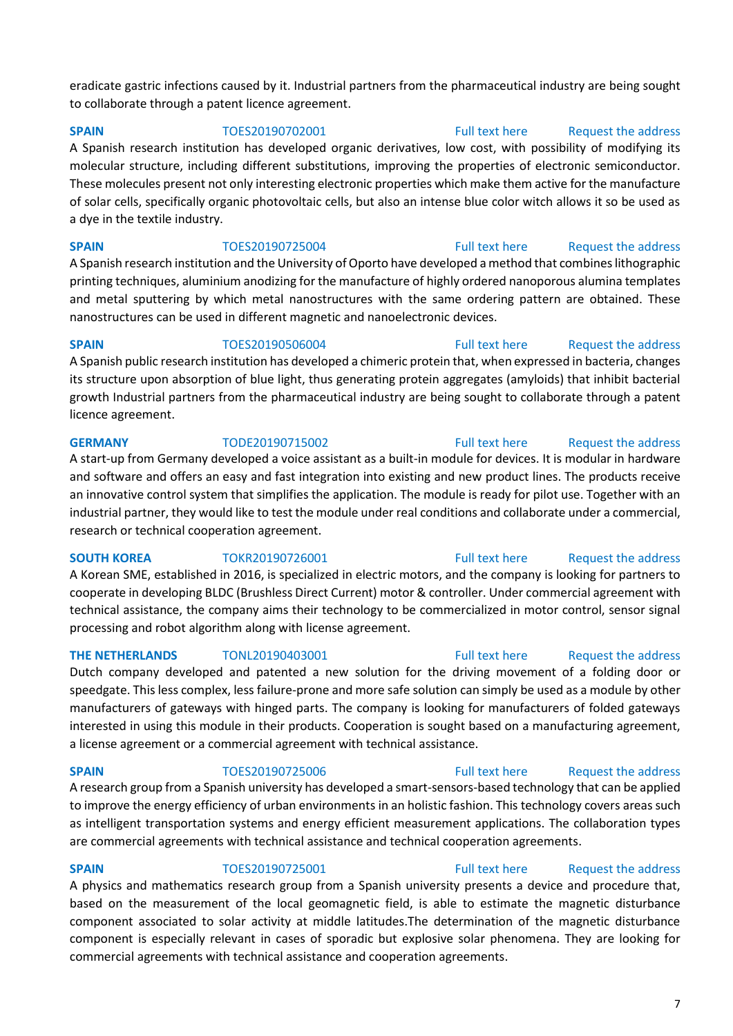eradicate gastric infections caused by it. Industrial partners from the pharmaceutical industry are being sought to collaborate through a patent licence agreement.

# **SPAIN** TOES20190702001 [Full text here](https://een.ec.europa.eu/tools/services/PRO/Profile/Detail/50cc6f72-ab86-4f54-91f8-19fbd123b983) Request the address

A Spanish research institution has developed organic derivatives, low cost, with possibility of modifying its molecular structure, including different substitutions, improving the properties of electronic semiconductor. These molecules present not only interesting electronic properties which make them active for the manufacture of solar cells, specifically organic photovoltaic cells, but also an intense blue color witch allows it so be used as a dye in the textile industry.

**SPAIN** TOES20190725004 [Full text here](https://een.ec.europa.eu/tools/services/PRO/Profile/Detail/28c76dfe-e0ab-4f95-9161-a9986623e957) Request the address A Spanish research institution and the University of Oporto have developed a method that combines lithographic printing techniques, aluminium anodizing for the manufacture of highly ordered nanoporous alumina templates and metal sputtering by which metal nanostructures with the same ordering pattern are obtained. These nanostructures can be used in different magnetic and nanoelectronic devices.

**SPAIN** TOES20190506004 [Full text here](https://een.ec.europa.eu/tools/services/PRO/Profile/Detail/78889cfe-0104-4f6b-805e-139d6a184e29) Request the address A Spanish public research institution has developed a chimeric protein that, when expressed in bacteria, changes its structure upon absorption of blue light, thus generating protein aggregates (amyloids) that inhibit bacterial growth Industrial partners from the pharmaceutical industry are being sought to collaborate through a patent licence agreement.

### **GERMANY** TODE20190715002 [Full text here](https://een.ec.europa.eu/tools/services/PRO/Profile/Detail/3dae21dd-5f42-4fa7-9bcb-942092a7b802) [Request the address](http://www.een.bg/index.php?option=com_rsform&formId=13)

# A start-up from Germany developed a voice assistant as a built-in module for devices. It is modular in hardware and software and offers an easy and fast integration into existing and new product lines. The products receive an innovative control system that simplifies the application. The module is ready for pilot use. Together with an industrial partner, they would like to test the module under real conditions and collaborate under a commercial, research or technical cooperation agreement.

**SOUTH KOREA** TOKR20190726001 [Full text here](https://een.ec.europa.eu/tools/services/PRO/Profile/Detail/90710fc9-2f88-499f-bacc-e2919f5e94c4) Request the address A Korean SME, established in 2016, is specialized in electric motors, and the company is looking for partners to cooperate in developing BLDC (Brushless Direct Current) motor & controller. Under commercial agreement with technical assistance, the company aims their technology to be commercialized in motor control, sensor signal processing and robot algorithm along with license agreement.

# **THE NETHERLANDS** TONL20190403001 [Full text here](https://een.ec.europa.eu/tools/services/PRO/Profile/Detail/996947d8-8349-441f-ae5f-9199b990b962) Request the address

Dutch company developed and patented a new solution for the driving movement of a folding door or speedgate. This less complex, less failure-prone and more safe solution can simply be used as a module by other manufacturers of gateways with hinged parts. The company is looking for manufacturers of folded gateways interested in using this module in their products. Cooperation is sought based on a manufacturing agreement, a license agreement or a commercial agreement with technical assistance.

**SPAIN** TOES20190725006 [Full text here](https://een.ec.europa.eu/tools/services/PRO/Profile/Detail/431a29ee-6483-4017-9356-48f2a0bba49f) Request the address A research group from a Spanish university has developed a smart-sensors-based technology that can be applied to improve the energy efficiency of urban environments in an holistic fashion. This technology covers areas such as intelligent transportation systems and energy efficient measurement applications. The collaboration types are commercial agreements with technical assistance and technical cooperation agreements.

# **SPAIN** TOES20190725001 [Full text here](https://een.ec.europa.eu/tools/services/PRO/Profile/Detail/943bc5c7-e6aa-4b58-81f3-58ea09aa49cc) Request the address

# A physics and mathematics research group from a Spanish university presents a device and procedure that, based on the measurement of the local geomagnetic field, is able to estimate the magnetic disturbance component associated to solar activity at middle latitudes.The determination of the magnetic disturbance component is especially relevant in cases of sporadic but explosive solar phenomena. They are looking for commercial agreements with technical assistance and cooperation agreements.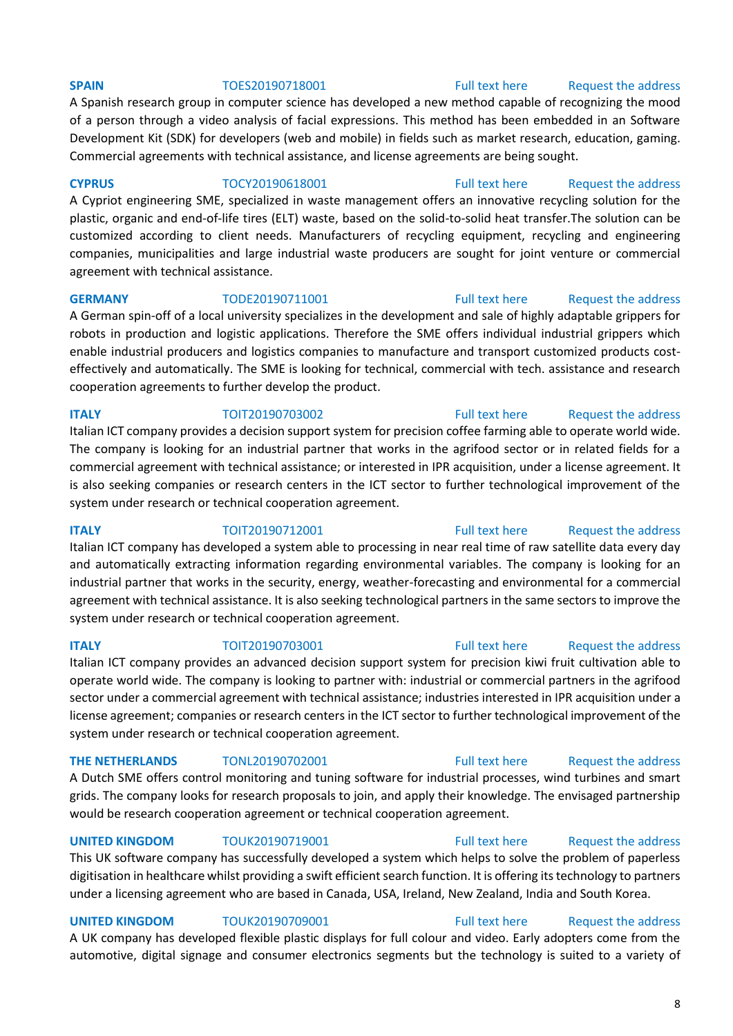A Spanish research group in computer science has developed a new method capable of recognizing the mood of a person through a video analysis of facial expressions. This method has been embedded in an Software Development Kit (SDK) for developers (web and mobile) in fields such as market research, education, gaming. Commercial agreements with technical assistance, and license agreements are being sought.

**CYPRUS** TOCY20190618001 [Full text here](https://een.ec.europa.eu/tools/services/PRO/Profile/Detail/17772d15-ff03-47a1-b494-bd8ffb6c5835) [Request the address](http://www.een.bg/index.php?option=com_rsform&formId=13)  A Cypriot engineering SME, specialized in waste management offers an innovative recycling solution for the plastic, organic and end-of-life tires (ELT) waste, based on the solid-to-solid heat transfer.The solution can be customized according to client needs. Manufacturers of recycling equipment, recycling and engineering companies, municipalities and large industrial waste producers are sought for joint venture or commercial agreement with technical assistance.

### **GERMANY** TODE20190711001 [Full text here](https://een.ec.europa.eu/tools/services/PRO/Profile/Detail/e62a3f1a-9a6c-4314-9625-b98f496163e0) Request the address A German spin-off of a local university specializes in the development and sale of highly adaptable grippers for

robots in production and logistic applications. Therefore the SME offers individual industrial grippers which enable industrial producers and logistics companies to manufacture and transport customized products costeffectively and automatically. The SME is looking for technical, commercial with tech. assistance and research cooperation agreements to further develop the product.

# **ITALY TOIT20190703002 TOIT20190703002 Full text here Request the address** Italian ICT company provides a decision support system for precision coffee farming able to operate world wide. The company is looking for an industrial partner that works in the agrifood sector or in related fields for a commercial agreement with technical assistance; or interested in IPR acquisition, under a license agreement. It is also seeking companies or research centers in the ICT sector to further technological improvement of the system under research or technical cooperation agreement.

**ITALY TOIT20190712001 Full text here** Request the address Italian ICT company has developed a system able to processing in near real time of raw satellite data every day and automatically extracting information regarding environmental variables. The company is looking for an industrial partner that works in the security, energy, weather-forecasting and environmental for a commercial agreement with technical assistance. It is also seeking technological partners in the same sectors to improve the system under research or technical cooperation agreement.

Italian ICT company provides an advanced decision support system for precision kiwi fruit cultivation able to operate world wide. The company is looking to partner with: industrial or commercial partners in the agrifood sector under a commercial agreement with technical assistance; industries interested in IPR acquisition under a license agreement; companies or research centers in the ICT sector to further technological improvement of the system under research or technical cooperation agreement.

A Dutch SME offers control monitoring and tuning software for industrial processes, wind turbines and smart grids. The company looks for research proposals to join, and apply their knowledge. The envisaged partnership would be research cooperation agreement or technical cooperation agreement.

**UNITED KINGDOM** TOUK20190719001 [Full text here](https://een.ec.europa.eu/tools/services/PRO/Profile/Detail/7e646593-8eff-4d2a-9199-e45ba0249ac3) Request the address

This UK software company has successfully developed a system which helps to solve the problem of paperless digitisation in healthcare whilst providing a swift efficient search function. It is offering its technology to partners under a licensing agreement who are based in Canada, USA, Ireland, New Zealand, India and South Korea.

## **UNITED KINGDOM** TOUK20190709001 [Full text here](https://een.ec.europa.eu/tools/services/PRO/Profile/Detail/c70f6e76-b20f-4680-98f0-3ff4c6c34b9a) Request the address

A UK company has developed flexible plastic displays for full colour and video. Early adopters come from the automotive, digital signage and consumer electronics segments but the technology is suited to a variety of

### **SPAIN** TOES20190718001 [Full text here](https://een.ec.europa.eu/tools/services/PRO/Profile/Detail/f03265fe-3b9d-459e-a33d-c08f6d856bd1) Request the address

# **ITALY TOIT20190703001** [Full text here](https://een.ec.europa.eu/tools/services/PRO/Profile/Detail/109c24cd-4ed0-4c6d-a46b-05180bcc7c05) Request the address

# **THE NETHERLANDS** TONL20190702001 [Full text here](https://een.ec.europa.eu/tools/services/PRO/Profile/Detail/5c26e012-e355-4b54-b821-8da700c5aaf7) Request the address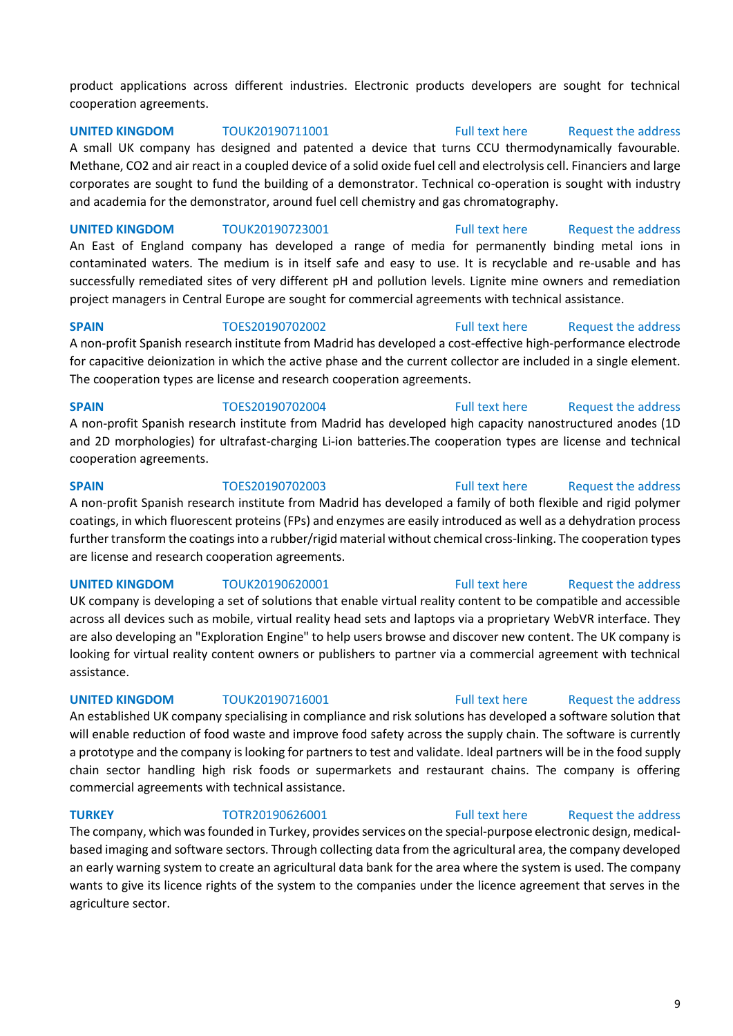product applications across different industries. Electronic products developers are sought for technical cooperation agreements.

**UNITED KINGDOM** TOUK20190711001 [Full text here](https://een.ec.europa.eu/tools/services/PRO/Profile/Detail/e9f5175e-ab3b-48eb-904a-9bd66d7eceab) Request the address A small UK company has designed and patented a device that turns CCU thermodynamically favourable. Methane, CO2 and air react in a coupled device of a solid oxide fuel cell and electrolysis cell. Financiers and large corporates are sought to fund the building of a demonstrator. Technical co-operation is sought with industry and academia for the demonstrator, around fuel cell chemistry and gas chromatography.

**UNITED KINGDOM** TOUK20190723001 [Full text here](https://een.ec.europa.eu/tools/services/PRO/Profile/Detail/356f1f7b-56f3-4c54-a056-83aabe43bfb9) Request the address

An East of England company has developed a range of media for permanently binding metal ions in contaminated waters. The medium is in itself safe and easy to use. It is recyclable and re-usable and has successfully remediated sites of very different pH and pollution levels. Lignite mine owners and remediation project managers in Central Europe are sought for commercial agreements with technical assistance.

**SPAIN** TOES20190702002 [Full text here](https://een.ec.europa.eu/tools/services/PRO/Profile/Detail/89891a12-0a78-444c-842b-e3299410525a) Request the address

A non-profit Spanish research institute from Madrid has developed a cost-effective high-performance electrode for capacitive deionization in which the active phase and the current collector are included in a single element. The cooperation types are license and research cooperation agreements.

**SPAIN** TOES20190702004 [Full text here](https://een.ec.europa.eu/tools/services/PRO/Profile/Detail/95bb4530-4da4-4cd7-aee4-0c0a607e54e7) Request the address A non-profit Spanish research institute from Madrid has developed high capacity nanostructured anodes (1D and 2D morphologies) for ultrafast-charging Li-ion batteries.The cooperation types are license and technical cooperation agreements.

**SPAIN** TOES20190702003 [Full text here](https://een.ec.europa.eu/tools/services/PRO/Profile/Detail/bf88b36a-4f3a-4b4f-bc81-3b6dbb776fd0) Request the address A non-profit Spanish research institute from Madrid has developed a family of both flexible and rigid polymer coatings, in which fluorescent proteins (FPs) and enzymes are easily introduced as well as a dehydration process further transform the coatings into a rubber/rigid material without chemical cross-linking. The cooperation types are license and research cooperation agreements.

# **UNITED KINGDOM** TOUK20190620001 [Full text here](https://een.ec.europa.eu/tools/services/PRO/Profile/Detail/6abe88e7-6e2b-4e2f-9357-b016c3ee7a7c) Request the address UK company is developing a set of solutions that enable virtual reality content to be compatible and accessible across all devices such as mobile, virtual reality head sets and laptops via a proprietary WebVR interface. They are also developing an "Exploration Engine" to help users browse and discover new content. The UK company is looking for virtual reality content owners or publishers to partner via a commercial agreement with technical assistance.

**UNITED KINGDOM** TOUK20190716001 [Full text here](https://een.ec.europa.eu/tools/services/PRO/Profile/Detail/aed35beb-7822-4ed8-8e2f-14d5859fc7c5) Request the address

An established UK company specialising in compliance and risk solutions has developed a software solution that will enable reduction of food waste and improve food safety across the supply chain. The software is currently a prototype and the company is looking for partners to test and validate. Ideal partners will be in the food supply chain sector handling high risk foods or supermarkets and restaurant chains. The company is offering commercial agreements with technical assistance.

# **TURKEY** TOTR20190626001 [Full text here](https://een.ec.europa.eu/tools/services/PRO/Profile/Detail/7d326171-8cc6-4ab2-824c-5e2fdbbaa577) Request the address

The company, which was founded in Turkey, provides services on the special-purpose electronic design, medicalbased imaging and software sectors. Through collecting data from the agricultural area, the company developed an early warning system to create an agricultural data bank for the area where the system is used. The company wants to give its licence rights of the system to the companies under the licence agreement that serves in the agriculture sector.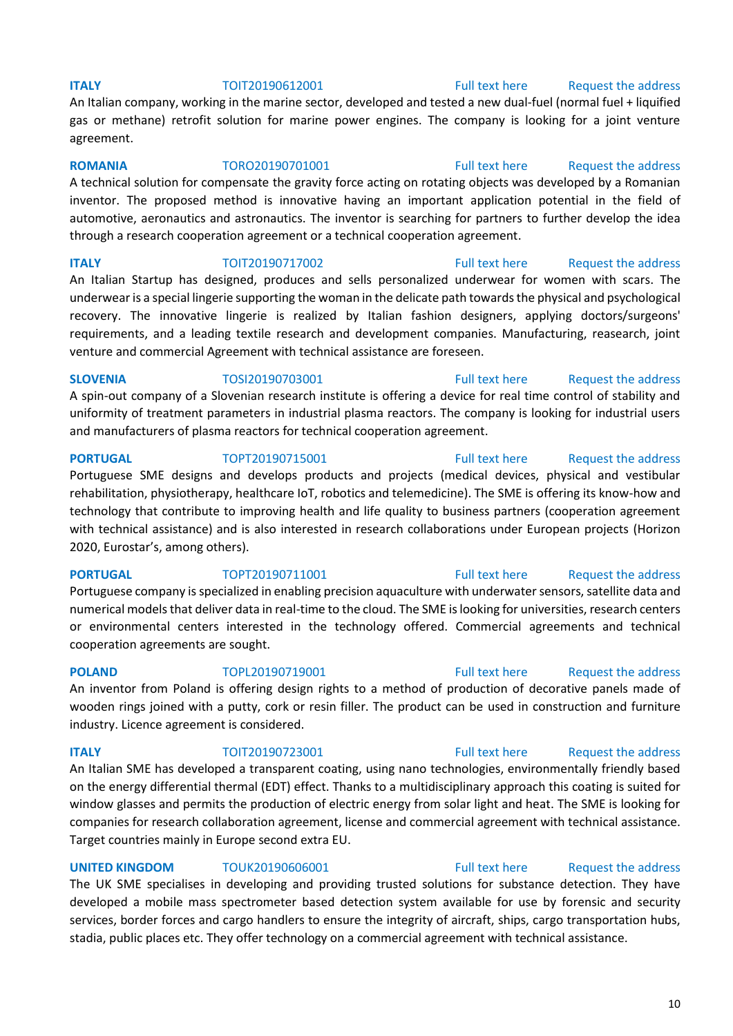### **ITALY TOIT20190612001** [Full text here](https://een.ec.europa.eu/tools/services/PRO/Profile/Detail/f00ea155-ab8f-4b2a-a92d-537b65812b35) Request the address

An Italian company, working in the marine sector, developed and tested a new dual-fuel (normal fuel + liquified gas or methane) retrofit solution for marine power engines. The company is looking for a joint venture agreement.

**ROMANIA** TORO20190701001 [Full text here](https://een.ec.europa.eu/tools/services/PRO/Profile/Detail/93737270-b6ff-45a7-8b88-712a606e317c) Request the address A technical solution for compensate the gravity force acting on rotating objects was developed by a Romanian inventor. The proposed method is innovative having an important application potential in the field of automotive, aeronautics and astronautics. The inventor is searching for partners to further develop the idea through a research cooperation agreement or a technical cooperation agreement.

**ITALY TOIT20190717002** [Full text here](https://een.ec.europa.eu/tools/services/PRO/Profile/Detail/1b4dfb2f-2cf6-41c2-becd-bf2a0f88ed16) Request the address An Italian Startup has designed, produces and sells personalized underwear for women with scars. The underwear is a special lingerie supporting the woman in the delicate path towards the physical and psychological recovery. The innovative lingerie is realized by Italian fashion designers, applying doctors/surgeons' requirements, and a leading textile research and development companies. Manufacturing, reasearch, joint venture and commercial Agreement with technical assistance are foreseen.

**SLOVENIA** TOSI20190703001 [Full text here](https://een.ec.europa.eu/tools/services/PRO/Profile/Detail/5b61c138-5c20-4d55-baed-b8cfc0f74544) Request the address

A spin-out company of a Slovenian research institute is offering a device for real time control of stability and uniformity of treatment parameters in industrial plasma reactors. The company is looking for industrial users and manufacturers of plasma reactors for technical cooperation agreement.

**PORTUGAL** TOPT20190715001 [Full text here](https://een.ec.europa.eu/tools/services/PRO/Profile/Detail/8b05bf9b-0c02-4821-821d-26ed8fe17efe) Request the address

Portuguese SME designs and develops products and projects (medical devices, physical and vestibular rehabilitation, physiotherapy, healthcare IoT, robotics and telemedicine). The SME is offering its know-how and technology that contribute to improving health and life quality to business partners (cooperation agreement with technical assistance) and is also interested in research collaborations under European projects (Horizon 2020, Eurostar's, among others).

### **PORTUGAL** TOPT20190711001 [Full text here](https://een.ec.europa.eu/tools/services/PRO/Profile/Detail/4f2e9144-0c6d-4b6f-98a9-2232dfea5a82) Request the address

Portuguese company is specialized in enabling precision aquaculture with underwater sensors, satellite data and numerical models that deliver data in real-time to the cloud. The SME is looking for universities, research centers or environmental centers interested in the technology offered. Commercial agreements and technical cooperation agreements are sought.

**POLAND** TOPL20190719001 [Full text here](https://een.ec.europa.eu/tools/services/PRO/Profile/Detail/9c6f4875-cbb4-4caa-bdd6-33055d1d945f) Request the address

An inventor from Poland is offering design rights to a method of production of decorative panels made of wooden rings joined with a putty, cork or resin filler. The product can be used in construction and furniture industry. Licence agreement is considered.

**ITALY TOIT20190723001** [Full text here](https://een.ec.europa.eu/tools/services/PRO/Profile/Detail/f6581662-55ee-4ca8-b582-a34ee80d1fad) Request the address

An Italian SME has developed a transparent coating, using nano technologies, environmentally friendly based on the energy differential thermal (EDT) effect. Thanks to a multidisciplinary approach this coating is suited for window glasses and permits the production of electric energy from solar light and heat. The SME is looking for companies for research collaboration agreement, license and commercial agreement with technical assistance. Target countries mainly in Europe second extra EU.

**UNITED KINGDOM** TOUK20190606001 [Full text here](https://een.ec.europa.eu/tools/services/PRO/Profile/Detail/681dc919-3654-4980-9441-3a51ed03cd61) Request the address The UK SME specialises in developing and providing trusted solutions for substance detection. They have developed a mobile mass spectrometer based detection system available for use by forensic and security services, border forces and cargo handlers to ensure the integrity of aircraft, ships, cargo transportation hubs, stadia, public places etc. They offer technology on a commercial agreement with technical assistance.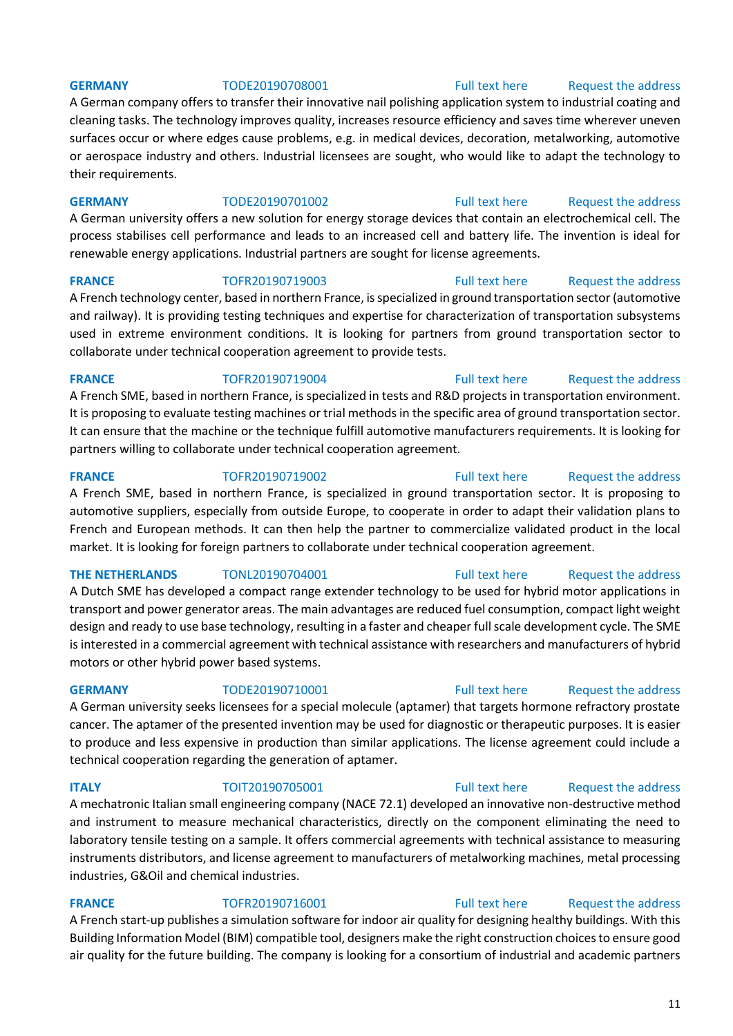**GERMANY** TODE20190708001 [Full text here](https://een.ec.europa.eu/tools/services/PRO/Profile/Detail/a287430f-a392-4f2f-8da9-a839b775b653) Request the address

A German company offers to transfer their innovative nail polishing application system to industrial coating and cleaning tasks. The technology improves quality, increases resource efficiency and saves time wherever uneven surfaces occur or where edges cause problems, e.g. in medical devices, decoration, metalworking, automotive or aerospace industry and others. Industrial licensees are sought, who would like to adapt the technology to their requirements.

**GERMANY** TODE20190701002 [Full text here](https://een.ec.europa.eu/tools/services/PRO/Profile/Detail/ec7a6d7a-4e3a-4fe6-a0cf-db462758e4b2) Request the address

A German university offers a new solution for energy storage devices that contain an electrochemical cell. The process stabilises cell performance and leads to an increased cell and battery life. The invention is ideal for renewable energy applications. Industrial partners are sought for license agreements.

**FRANCE** TOFR20190719003 [Full text here](https://een.ec.europa.eu/tools/services/PRO/Profile/Detail/e3351dc7-6b12-458a-ab9e-5061fe59a693) Request the address

A French technology center, based in northern France, is specialized in ground transportation sector (automotive and railway). It is providing testing techniques and expertise for characterization of transportation subsystems used in extreme environment conditions. It is looking for partners from ground transportation sector to collaborate under technical cooperation agreement to provide tests.

### **FRANCE** TOFR20190719004 [Full text here](https://een.ec.europa.eu/tools/services/PRO/Profile/Detail/4c2b27ed-07f9-4156-b7d0-495d93840685) Request the address

A French SME, based in northern France, is specialized in tests and R&D projects in transportation environment. It is proposing to evaluate testing machines or trial methods in the specific area of ground transportation sector. It can ensure that the machine or the technique fulfill automotive manufacturers requirements. It is looking for partners willing to collaborate under technical cooperation agreement.

### **FRANCE** TOFR20190719002 [Full text here](https://een.ec.europa.eu/tools/services/PRO/Profile/Detail/d5b9962b-043b-4cbe-965e-c88005f4bcd2) Request the address

A French SME, based in northern France, is specialized in ground transportation sector. It is proposing to

# automotive suppliers, especially from outside Europe, to cooperate in order to adapt their validation plans to French and European methods. It can then help the partner to commercialize validated product in the local market. It is looking for foreign partners to collaborate under technical cooperation agreement.

## **THE NETHERLANDS** TONL20190704001 [Full text here](https://een.ec.europa.eu/tools/services/PRO/Profile/Detail/2b621776-879f-4e3e-8803-e550848f0568) Request the address

A Dutch SME has developed a compact range extender technology to be used for hybrid motor applications in transport and power generator areas. The main advantages are reduced fuel consumption, compact light weight design and ready to use base technology, resulting in a faster and cheaper full scale development cycle. The SME is interested in a commercial agreement with technical assistance with researchers and manufacturers of hybrid motors or other hybrid power based systems.

A German university seeks licensees for a special molecule (aptamer) that targets hormone refractory prostate cancer. The aptamer of the presented invention may be used for diagnostic or therapeutic purposes. It is easier to produce and less expensive in production than similar applications. The license agreement could include a technical cooperation regarding the generation of aptamer.

## **ITALY** TOIT20190705001 [Full text here](https://een.ec.europa.eu/tools/services/PRO/Profile/Detail/ea99b21d-35e0-43b5-b68d-75f6f4048d94) Request the address

A mechatronic Italian small engineering company (NACE 72.1) developed an innovative non-destructive method and instrument to measure mechanical characteristics, directly on the component eliminating the need to laboratory tensile testing on a sample. It offers commercial agreements with technical assistance to measuring instruments distributors, and license agreement to manufacturers of metalworking machines, metal processing industries, G&Oil and chemical industries.

# **FRANCE** TOFR20190716001 [Full text here](https://een.ec.europa.eu/tools/services/PRO/Profile/Detail/71e0af5c-f05e-4df2-b620-c1a7daa064ea) Request the address

A French start-up publishes a simulation software for indoor air quality for designing healthy buildings. With this Building Information Model (BIM) compatible tool, designers make the right construction choices to ensure good air quality for the future building. The company is looking for a consortium of industrial and academic partners

**GERMANY** TODE20190710001 [Full text here](https://een.ec.europa.eu/tools/services/PRO/Profile/Detail/47361e07-6169-422a-acb1-7ea31c4e913b) Request the address